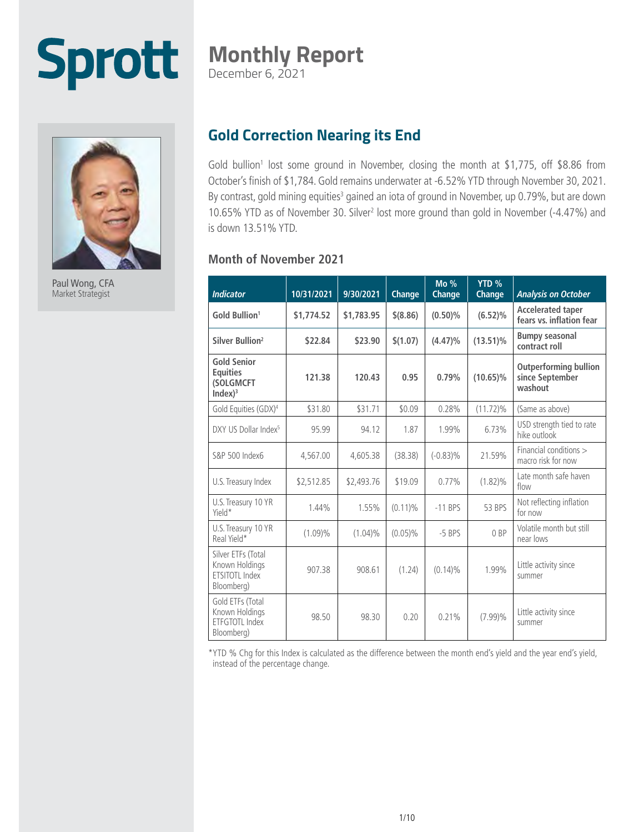### Sprott **Monthly Report** December 6, 2021



Paul Wong, CFA Market Strategist

### **Gold Correction Nearing its End**

Gold bullion<sup>1</sup> lost some ground in November, closing the month at \$1,775, off \$8.86 from October's finish of \$1,784. Gold remains underwater at -6.52% YTD through November 30, 2021. By contrast, gold mining equities<sup>3</sup> gained an iota of ground in November, up 0.79%, but are down 10.65% YTD as of November 30. Silver<sup>2</sup> lost more ground than gold in November (-4.47%) and is down 13.51% YTD.

#### **Month of November 2021**

| <b>Indicator</b>                                                                 | 10/31/2021 | 9/30/2021  | Change     | $Mo\%$<br>Change | YTD %<br>Change | <b>Analysis on October</b>                                 |
|----------------------------------------------------------------------------------|------------|------------|------------|------------------|-----------------|------------------------------------------------------------|
| Gold Bullion <sup>1</sup>                                                        | \$1,774.52 | \$1,783.95 | $$$ (8.86) | $(0.50)\%$       | $(6.52)\%$      | <b>Accelerated taper</b><br>fears vs. inflation fear       |
| Silver Bullion <sup>2</sup>                                                      | \$22.84    | \$23.90    | \$(1.07)   | $(4.47)\%$       | $(13.51)\%$     | <b>Bumpy seasonal</b><br>contract roll                     |
| <b>Gold Senior</b><br><b>Equities</b><br><b>(SOLGMCFT</b><br>Index) <sup>3</sup> | 121.38     | 120.43     | 0.95       | 0.79%            | $(10.65)\%$     | <b>Outperforming bullion</b><br>since September<br>washout |
| Gold Equities (GDX) <sup>4</sup>                                                 | \$31.80    | \$31.71    | \$0.09     | 0.28%            | $(11.72)\%$     | (Same as above)                                            |
| DXY US Dollar Index <sup>5</sup>                                                 | 95.99      | 94.12      | 1.87       | 1.99%            | 6.73%           | USD strength tied to rate<br>hike outlook                  |
| S&P 500 Index6                                                                   | 4,567.00   | 4,605.38   | (38.38)    | $(-0.83)\%$      | 21.59%          | Financial conditions ><br>macro risk for now               |
| U.S. Treasury Index                                                              | \$2,512.85 | \$2,493.76 | \$19.09    | 0.77%            | $(1.82)\%$      | Late month safe haven<br>flow                              |
| U.S. Treasury 10 YR<br>Yield*                                                    | 1.44%      | 1.55%      | $(0.11)\%$ | $-11$ BPS        | 53 BPS          | Not reflecting inflation<br>for now                        |
| U.S. Treasury 10 YR<br>Real Yield*                                               | $(1.09)\%$ | $(1.04)\%$ | $(0.05)\%$ | $-5$ BPS         | 0 <sub>RP</sub> | Volatile month but still<br>near lows                      |
| Silver ETFs (Total<br>Known Holdings<br>FTSITOTI Index<br>Bloomberg)             | 907.38     | 908.61     | (1.24)     | $(0.14)\%$       | 1.99%           | Little activity since<br>summer                            |
| Gold ETFs (Total<br>Known Holdings<br>FTFGTOTI Index<br>Bloomberg)               | 98.50      | 98.30      | 0.20       | 0.21%            | $(7.99)\%$      | Little activity since<br>summer                            |

\*YTD % Chg for this Index is calculated as the difference between the month end's yield and the year end's yield, instead of the percentage change.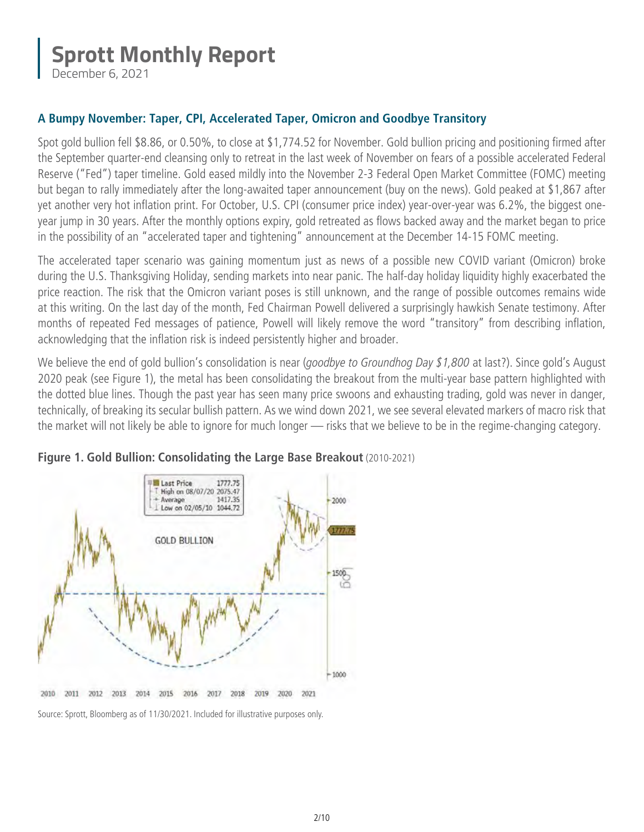December 6, 2021

### **A Bumpy November: Taper, CPI, Accelerated Taper, Omicron and Goodbye Transitory**

Spot gold bullion fell \$8.86, or 0.50%, to close at \$1,774.52 for November. Gold bullion pricing and positioning firmed after the September quarter-end cleansing only to retreat in the last week of November on fears of a possible accelerated Federal Reserve ("Fed") taper timeline. Gold eased mildly into the November 2-3 Federal Open Market Committee (FOMC) meeting but began to rally immediately after the long-awaited taper announcement (buy on the news). Gold peaked at \$1,867 after yet another very hot inflation print. For October, U.S. CPI (consumer price index) year-over-year was 6.2%, the biggest oneyear jump in 30 years. After the monthly options expiry, gold retreated as flows backed away and the market began to price in the possibility of an "accelerated taper and tightening" announcement at the December 14-15 FOMC meeting.

The accelerated taper scenario was gaining momentum just as news of a possible new COVID variant (Omicron) broke during the U.S. Thanksgiving Holiday, sending markets into near panic. The half-day holiday liquidity highly exacerbated the price reaction. The risk that the Omicron variant poses is still unknown, and the range of possible outcomes remains wide at this writing. On the last day of the month, Fed Chairman Powell delivered a surprisingly hawkish Senate testimony. After months of repeated Fed messages of patience, Powell will likely remove the word "transitory" from describing inflation, acknowledging that the inflation risk is indeed persistently higher and broader.

We believe the end of gold bullion's consolidation is near (*goodbye to Groundhog Day \$1,800* at last?). Since gold's August 2020 peak (see Figure 1), the metal has been consolidating the breakout from the multi-year base pattern highlighted with the dotted blue lines. Though the past year has seen many price swoons and exhausting trading, gold was never in danger, technically, of breaking its secular bullish pattern. As we wind down 2021, we see several elevated markers of macro risk that the market will not likely be able to ignore for much longer — risks that we believe to be in the regime-changing category.





Source: Sprott, Bloomberg as of 11/30/2021. Included for illustrative purposes only.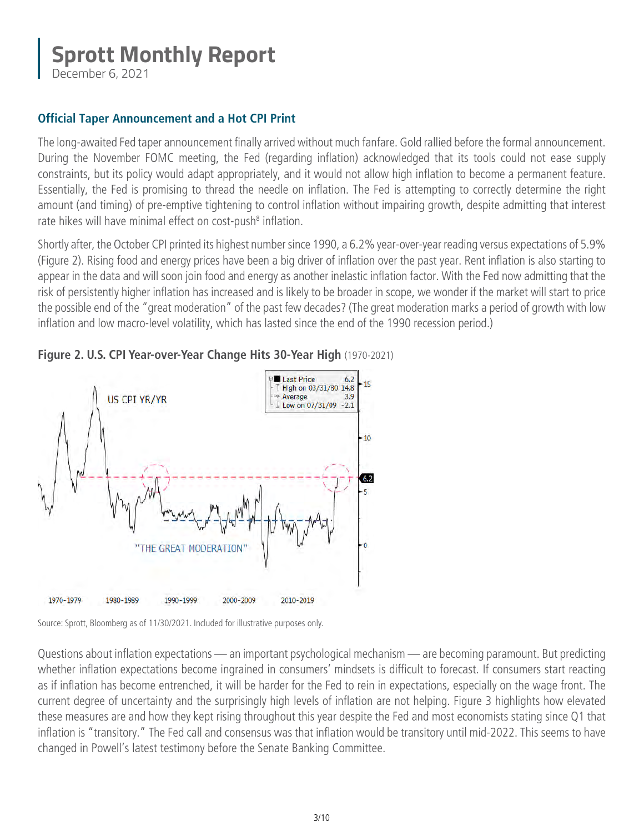December 6, 2021

### **Official Taper Announcement and a Hot CPI Print**

The long-awaited Fed taper announcement finally arrived without much fanfare. Gold rallied before the formal announcement. During the November FOMC meeting, the Fed (regarding inflation) acknowledged that its tools could not ease supply constraints, but its policy would adapt appropriately, and it would not allow high inflation to become a permanent feature. Essentially, the Fed is promising to thread the needle on inflation. The Fed is attempting to correctly determine the right amount (and timing) of pre-emptive tightening to control inflation without impairing growth, despite admitting that interest rate hikes will have minimal effect on cost-push<sup>8</sup> inflation.

Shortly after, the October CPI printed its highest number since 1990, a 6.2% year-over-year reading versus expectations of 5.9% (Figure 2). Rising food and energy prices have been a big driver of inflation over the past year. Rent inflation is also starting to appear in the data and will soon join food and energy as another inelastic inflation factor. With the Fed now admitting that the risk of persistently higher inflation has increased and is likely to be broader in scope, we wonder if the market will start to price the possible end of the "great moderation" of the past few decades? (The great moderation marks a period of growth with low inflation and low macro-level volatility, which has lasted since the end of the 1990 recession period.)





Source: Sprott, Bloomberg as of 11/30/2021. Included for illustrative purposes only.

Questions about inflation expectations — an important psychological mechanism — are becoming paramount. But predicting whether inflation expectations become ingrained in consumers' mindsets is difficult to forecast. If consumers start reacting as if inflation has become entrenched, it will be harder for the Fed to rein in expectations, especially on the wage front. The current degree of uncertainty and the surprisingly high levels of inflation are not helping. Figure 3 highlights how elevated these measures are and how they kept rising throughout this year despite the Fed and most economists stating since Q1 that inflation is "transitory." The Fed call and consensus was that inflation would be transitory until mid-2022. This seems to have changed in Powell's latest testimony before the Senate Banking Committee.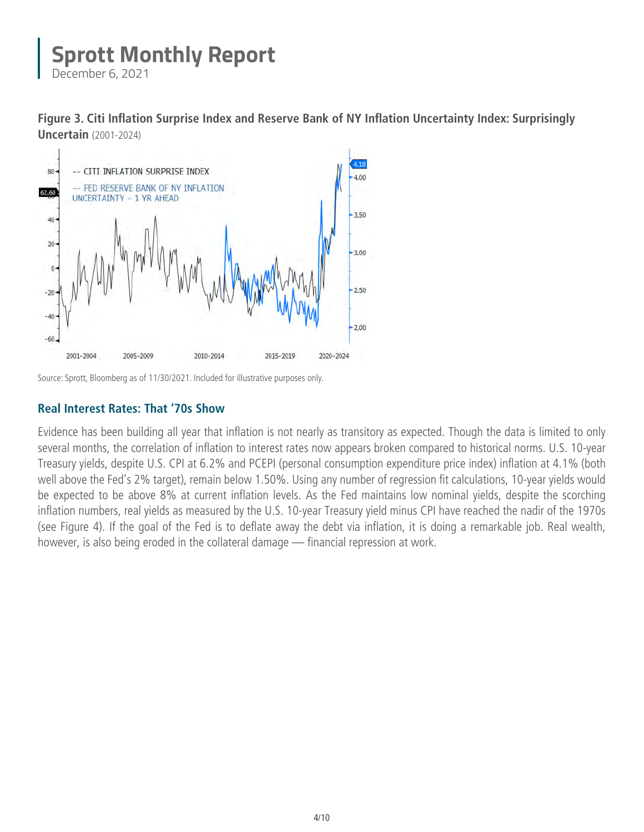December 6, 2021

**Figure 3. Citi Inflation Surprise Index and Reserve Bank of NY Inflation Uncertainty Index: Surprisingly Uncertain** (2001-2024)



Source: Sprott, Bloomberg as of 11/30/2021. Included for illustrative purposes only.

### **Real Interest Rates: That '70s Show**

Evidence has been building all year that inflation is not nearly as transitory as expected. Though the data is limited to only several months, the correlation of inflation to interest rates now appears broken compared to historical norms. U.S. 10-year Treasury yields, despite U.S. CPI at 6.2% and PCEPI (personal consumption expenditure price index) inflation at 4.1% (both well above the Fed's 2% target), remain below 1.50%. Using any number of regression fit calculations, 10-year yields would be expected to be above 8% at current inflation levels. As the Fed maintains low nominal yields, despite the scorching inflation numbers, real yields as measured by the U.S. 10-year Treasury yield minus CPI have reached the nadir of the 1970s (see Figure 4). If the goal of the Fed is to deflate away the debt via inflation, it is doing a remarkable job. Real wealth, however, is also being eroded in the collateral damage — financial repression at work.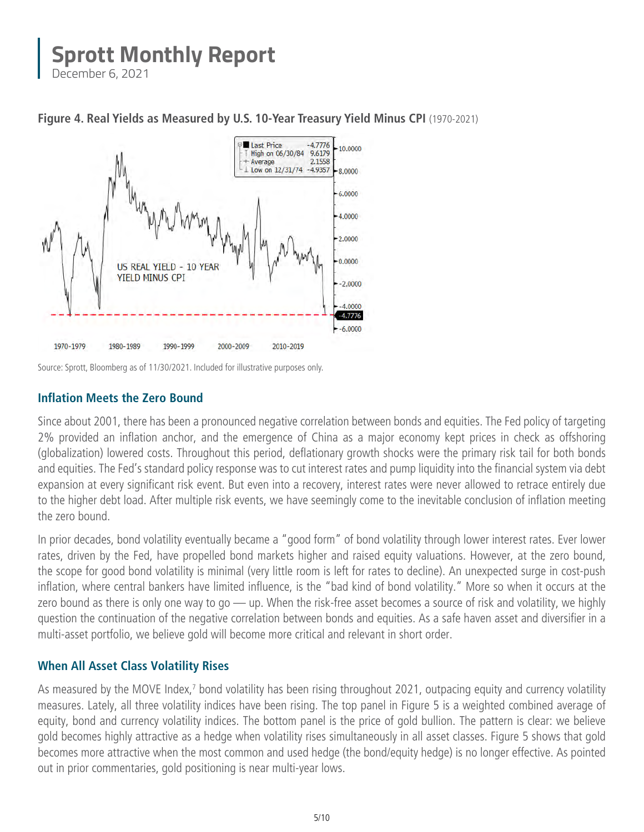December 6, 2021



#### **Figure 4. Real Yields as Measured by U.S. 10-Year Treasury Yield Minus CPI** (1970-2021)

Source: Sprott, Bloomberg as of 11/30/2021. Included for illustrative purposes only.

### **Inflation Meets the Zero Bound**

Since about 2001, there has been a pronounced negative correlation between bonds and equities. The Fed policy of targeting 2% provided an inflation anchor, and the emergence of China as a major economy kept prices in check as offshoring (globalization) lowered costs. Throughout this period, deflationary growth shocks were the primary risk tail for both bonds and equities. The Fed's standard policy response was to cut interest rates and pump liquidity into the financial system via debt expansion at every significant risk event. But even into a recovery, interest rates were never allowed to retrace entirely due to the higher debt load. After multiple risk events, we have seemingly come to the inevitable conclusion of inflation meeting the zero bound.

In prior decades, bond volatility eventually became a "good form" of bond volatility through lower interest rates. Ever lower rates, driven by the Fed, have propelled bond markets higher and raised equity valuations. However, at the zero bound, the scope for good bond volatility is minimal (very little room is left for rates to decline). An unexpected surge in cost-push inflation, where central bankers have limited influence, is the "bad kind of bond volatility." More so when it occurs at the zero bound as there is only one way to go — up. When the risk-free asset becomes a source of risk and volatility, we highly question the continuation of the negative correlation between bonds and equities. As a safe haven asset and diversifier in a multi-asset portfolio, we believe gold will become more critical and relevant in short order.

#### **When All Asset Class Volatility Rises**

As measured by the MOVE Index,<sup>7</sup> bond volatility has been rising throughout 2021, outpacing equity and currency volatility measures. Lately, all three volatility indices have been rising. The top panel in Figure 5 is a weighted combined average of equity, bond and currency volatility indices. The bottom panel is the price of gold bullion. The pattern is clear: we believe gold becomes highly attractive as a hedge when volatility rises simultaneously in all asset classes. Figure 5 shows that gold becomes more attractive when the most common and used hedge (the bond/equity hedge) is no longer effective. As pointed out in prior commentaries, gold positioning is near multi-year lows.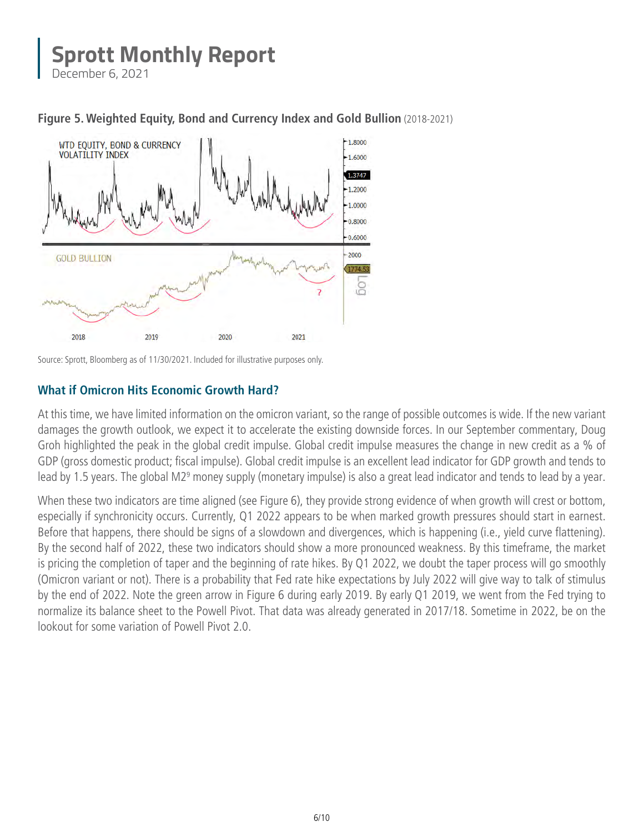December 6, 2021





Source: Sprott, Bloomberg as of 11/30/2021. Included for illustrative purposes only.

### **What if Omicron Hits Economic Growth Hard?**

At this time, we have limited information on the omicron variant, so the range of possible outcomes is wide. If the new variant damages the growth outlook, we expect it to accelerate the existing downside forces. In our September commentary, Doug Groh highlighted the peak in the global credit impulse. Global credit impulse measures the change in new credit as a % of GDP (gross domestic product; fiscal impulse). Global credit impulse is an excellent lead indicator for GDP growth and tends to lead by 1.5 years. The global M2<sup>9</sup> money supply (monetary impulse) is also a great lead indicator and tends to lead by a year.

When these two indicators are time aligned (see Figure 6), they provide strong evidence of when growth will crest or bottom, especially if synchronicity occurs. Currently, Q1 2022 appears to be when marked growth pressures should start in earnest. Before that happens, there should be signs of a slowdown and divergences, which is happening (i.e., yield curve flattening). By the second half of 2022, these two indicators should show a more pronounced weakness. By this timeframe, the market is pricing the completion of taper and the beginning of rate hikes. By Q1 2022, we doubt the taper process will go smoothly (Omicron variant or not). There is a probability that Fed rate hike expectations by July 2022 will give way to talk of stimulus by the end of 2022. Note the green arrow in Figure 6 during early 2019. By early Q1 2019, we went from the Fed trying to normalize its balance sheet to the Powell Pivot. That data was already generated in 2017/18. Sometime in 2022, be on the lookout for some variation of Powell Pivot 2.0.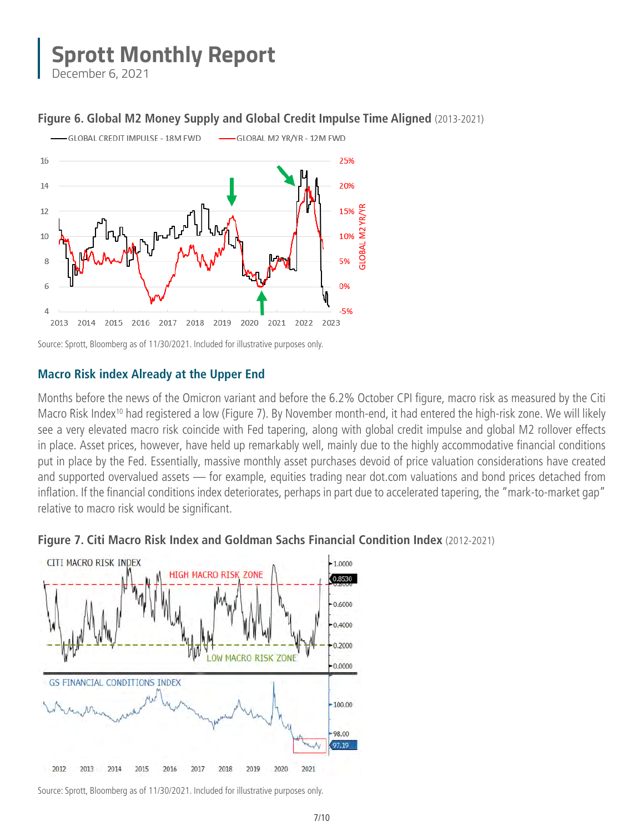December 6, 2021

### **Figure 6. Global M2 Money Supply and Global Credit Impulse Time Aligned** (2013-2021)



Source: Sprott, Bloomberg as of 11/30/2021. Included for illustrative purposes only.

#### **Macro Risk index Already at the Upper End**

Months before the news of the Omicron variant and before the 6.2% October CPI figure, macro risk as measured by the Citi Macro Risk Index<sup>10</sup> had registered a low (Figure 7). By November month-end, it had entered the high-risk zone. We will likely see a very elevated macro risk coincide with Fed tapering, along with global credit impulse and global M2 rollover effects in place. Asset prices, however, have held up remarkably well, mainly due to the highly accommodative financial conditions put in place by the Fed. Essentially, massive monthly asset purchases devoid of price valuation considerations have created and supported overvalued assets — for example, equities trading near dot.com valuations and bond prices detached from inflation. If the financial conditions index deteriorates, perhaps in part due to accelerated tapering, the "mark-to-market gap" relative to macro risk would be significant.





Source: Sprott, Bloomberg as of 11/30/2021. Included for illustrative purposes only.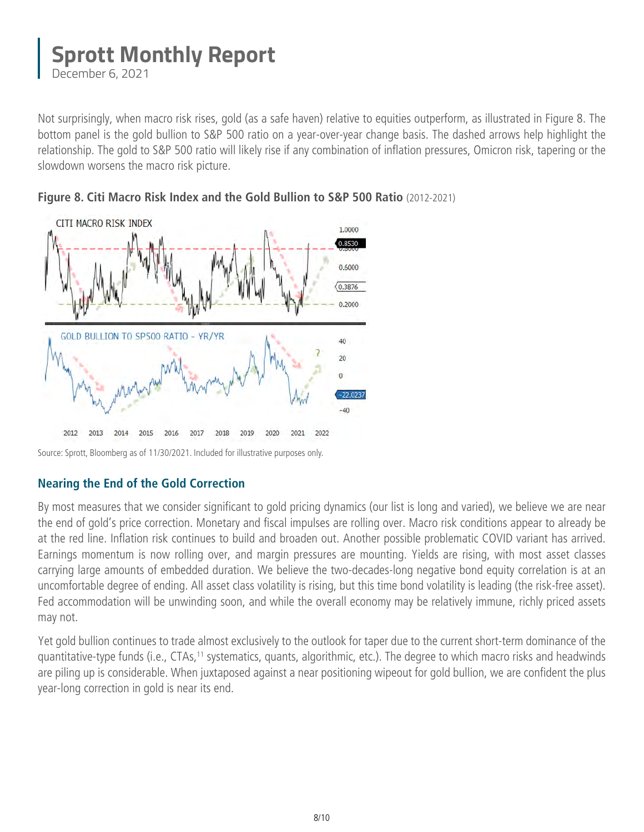December 6, 2021

Not surprisingly, when macro risk rises, gold (as a safe haven) relative to equities outperform, as illustrated in Figure 8. The bottom panel is the gold bullion to S&P 500 ratio on a year-over-year change basis. The dashed arrows help highlight the relationship. The gold to S&P 500 ratio will likely rise if any combination of inflation pressures, Omicron risk, tapering or the slowdown worsens the macro risk picture.





Source: Sprott, Bloomberg as of 11/30/2021. Included for illustrative purposes only.

### **Nearing the End of the Gold Correction**

By most measures that we consider significant to gold pricing dynamics (our list is long and varied), we believe we are near the end of gold's price correction. Monetary and fiscal impulses are rolling over. Macro risk conditions appear to already be at the red line. Inflation risk continues to build and broaden out. Another possible problematic COVID variant has arrived. Earnings momentum is now rolling over, and margin pressures are mounting. Yields are rising, with most asset classes carrying large amounts of embedded duration. We believe the two-decades-long negative bond equity correlation is at an uncomfortable degree of ending. All asset class volatility is rising, but this time bond volatility is leading (the risk-free asset). Fed accommodation will be unwinding soon, and while the overall economy may be relatively immune, richly priced assets may not.

Yet gold bullion continues to trade almost exclusively to the outlook for taper due to the current short-term dominance of the quantitative-type funds (i.e., CTAs,<sup>11</sup> systematics, quants, algorithmic, etc.). The degree to which macro risks and headwinds are piling up is considerable. When juxtaposed against a near positioning wipeout for gold bullion, we are confident the plus year-long correction in gold is near its end.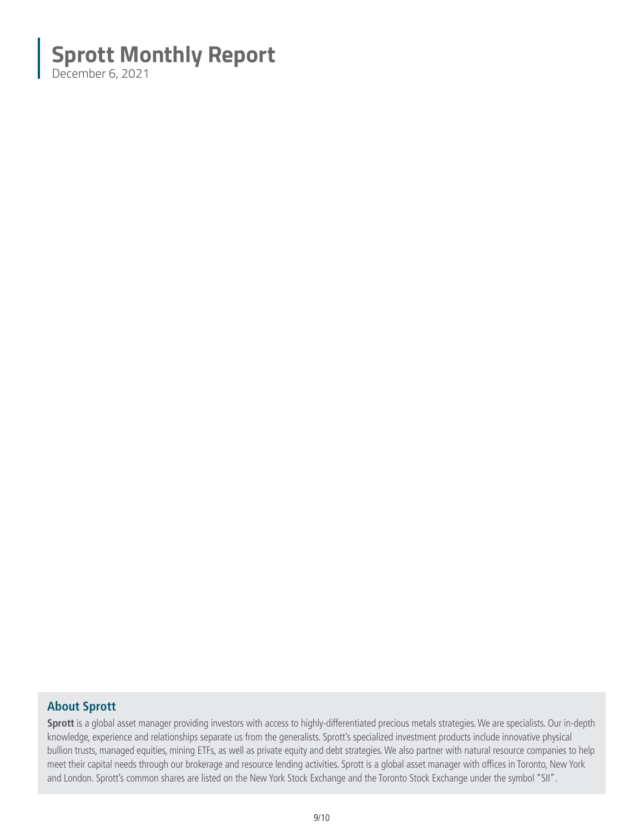December 6, 2021

### **About Sprott**

**Sprott** is a global asset manager providing investors with access to highly-differentiated precious metals strategies. We are specialists. Our in-depth knowledge, experience and relationships separate us from the generalists. Sprott's specialized investment products include innovative physical bullion trusts, managed equities, mining ETFs, as well as private equity and debt strategies. We also partner with natural resource companies to help meet their capital needs through our brokerage and resource lending activities. Sprott is a global asset manager with offices in Toronto, New York and London. Sprott's common shares are listed on the New York Stock Exchange and the Toronto Stock Exchange under the symbol "SII".